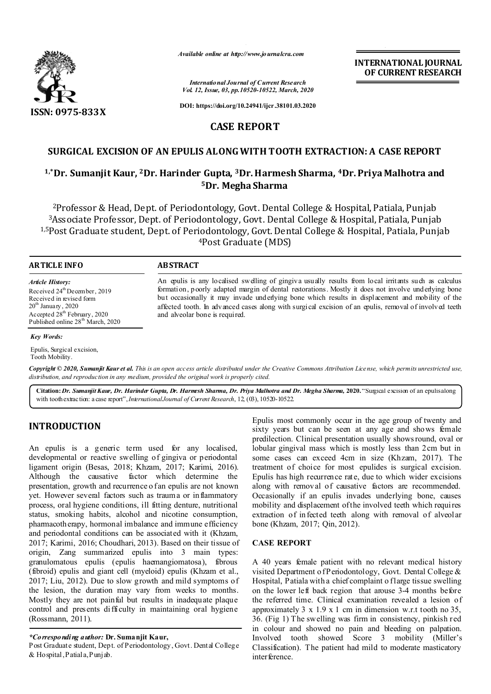

*Available online at http://www.journalcra.com*

*International Journal of Current Research Vol. 12, Issue, 03, pp.10520-10522, March, 2020*

**DOI: https://doi.org/10.24941/ijcr.38101.03.2020**

# **CASE REPORT**

# **SURGICAL EXCISION OF AN EPULIS ALONG WITH TOOTH EXTRACTION: A CASE REPORT**

# **1,\*Dr. Sumanjit Kaur, 2Dr. Harinder Gupta, 3Dr. Harmesh Sharma, 4Dr. Priya Malhotra and 5Dr. Megha Sharma**

2Professor & Head, Dept. of Periodontology, Govt. Dental College & Hospital, Patiala, Punjab 3Associate Professor, Dept. of Periodontology, Govt. Dental College & Hospital, Patiala, Punjab 1,5Post Graduate student, Dept. of Periodontology, Govt. Dental College & Hospital, Patiala, Punjab 4Post Graduate (MDS)

## **ARTICLE INFO ABSTRACT**

*Article History:* Received 24<sup>th</sup> December, 2019 Received in revised form  $20^{\rm th}$  January ,  $2020$ Accepted 28<sup>th</sup> February, 2020 Published online 28<sup>th</sup> March, 2020

An epulis is any localised swelling of gingiva usually results from local irritants such as calculus formation, poorly adapted margin of dental restorations. Mostly it does not involve underlying bone but occasionally it may invade underlying bone which results in displacement and mobility of the affected tooth. In advanced cases along with surgical excision of an epulis, removal of involved teeth and alveolar bone is required.

### *Key Words:*

Epulis, Surgical excision, Tooth Mobility.

Copyright © 2020, Sumanjit Kaur et al. This is an open access article distributed under the Creative Commons Attribution License, which permits unrestricted use, *distribution, and reproduction in any medium, provided the original work is properly cited.*

**Citation:***Dr. Sumanjit Kaur, Dr. Harinder Gupta, Dr. Harmesh Sharma, Dr. Priya Malhotra and Dr. Megha Sharma,* **2020.** "Surgical excision of an epulis along with tooth extraction: a case report",*InternationalJournal of Current Research*, 12, (03), 10520-10522.

# **INTRODUCTION**

An epulis is a generic term used for any localised, developmental or reactive swelling of gingiva or periodontal ligament origin (Besas, 2018; Khzam, 2017; Karimi, 2016). Although the causative factor which determine the presentation, growth and recurrence o fan epulis are not known yet. However several factors such as trauma or inflammatory process, oral hygiene conditions, ill fitting denture, nutritional status, smoking habits, alcohol and nicotine consumption, pharmacotherapy, hormonal imbalance and immune efficiency and periodontal conditions can be associated with it (Khzam, 2017; Karimi, 2016; Choudhari, 2013). Based on their tissue of origin, Zang summarized epulis into 3 main types: granulomatous epulis (epulis haemangiomatosa), fibrous (fibroid) epulis and giant cell (myeloid) epulis (Khzam et al., 2017; Liu, 2012). Due to slow growth and mild symptoms of the lesion, the duration may vary from weeks to months. Mostly they are not painful but results in inadequate plaque control and presents difficulty in maintaining oral hygiene (Rossmann, 2011).

*\*Corresponding author:* **Dr. Sumanjit Kaur,** 

Post Graduate student, Dept. of Periodontology, Govt. Dental College & Hospital, Patiala, Punjab.

Epulis most commonly occur in the age group of twenty and sixty years but can be seen at any age and shows female predilection. Clinical presentation usually shows round, oval or lobular gingival mass which is mostly less than 2cm but in some cases can exceed 4cm in size (Khzam, 2017). The treatment of choice for most epulides is surgical excision. Epulis has high recurrence rate, due to which wider excisions along with removal of causative factors are recommended. Occasionally if an epulis invades underlying bone, causes mobility and displacement of the involved teeth which requires extraction of infected teeth along with removal of alveolar bone (Khzam, 2017; Qin, 2012).

**INTERNATIONAL JOURNAL OF CURRENT RESEARCH**

## **CASE REPORT**

A 40 years female patient with no relevant medical history visited Department of Periodontology, Govt. Dental College & Hospital, Patiala with a chief complaint o flarge tissue swelling on the lower left back region that arouse 3-4 months before the referred time. Clinical examination revealed a lesion of approximately 3 x 1.9 x 1 cm in dimension w.r.t tooth no 35, 36. (Fig 1) The swelling was firm in consistency, pinkish red in colour and showed no pain and bleeding on palpation. Involved tooth showed Score 3 mobility (Miller's Classification). The patient had mild to moderate masticatory interference.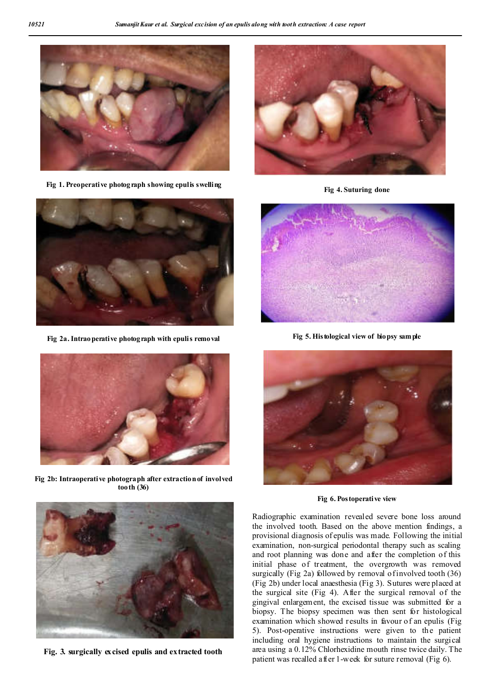

**Fig 1. Preoperative photograph showing epulis swelling**



**Fig 2a.Intraoperative photograph with epulis removal**



**Fig 2b: Intraoperative photograph after extraction of involved tooth (36)**



**Fig 4. Suturing done**



**Fig 5. Histological view of biopsy sample**



**Fig 6. Postoperative view**

Radiographic examination revealed severe bone loss around the involved tooth. Based on the above mention findings, a provisional diagnosis of epulis was made. Following the initial examination, non-surgical periodontal therapy such as scaling and root planning was done and after the completion of this initial phase of treatment, the overgrowth was removed surgically (Fig 2a) followed by removal of involved tooth (36) (Fig 2b) under local anaesthesia (Fig 3). Sutures were placed at the surgical site (Fig 4). After the surgical removal of the gingival enlargement, the excised tissue was submitted for a biopsy. The biopsy specimen was then sent for histological examination which showed results in favour of an epulis (Fig 5). Post-operative instructions were given to the patient including oral hygiene instructions to maintain the surgical area using a 0.12% Chlorhexidine mouth rinse twice daily. The patient was recalled after 1-week for suture removal (Fig 6).



**Fig. 3. surgically excised epulis and extracted tooth**